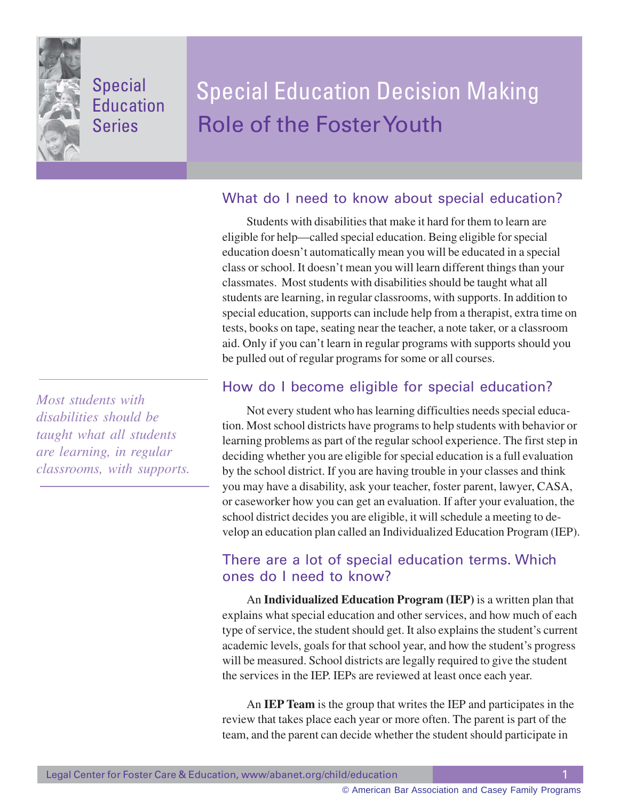

Special Education Series

# Special Education Decision Making Role of the Foster Youth

# What do I need to know about special education?

Students with disabilities that make it hard for them to learn are eligible for help—called special education. Being eligible for special education doesn't automatically mean you will be educated in a special class or school. It doesn't mean you will learn different things than your classmates. Most students with disabilities should be taught what all students are learning, in regular classrooms, with supports. In addition to special education, supports can include help from a therapist, extra time on tests, books on tape, seating near the teacher, a note taker, or a classroom aid. Only if you can't learn in regular programs with supports should you be pulled out of regular programs for some or all courses.

#### How do I become eligible for special education?

Not every student who has learning difficulties needs special education. Most school districts have programs to help students with behavior or learning problems as part of the regular school experience. The first step in deciding whether you are eligible for special education is a full evaluation by the school district. If you are having trouble in your classes and think you may have a disability, ask your teacher, foster parent, lawyer, CASA, or caseworker how you can get an evaluation. If after your evaluation, the school district decides you are eligible, it will schedule a meeting to develop an education plan called an Individualized Education Program (IEP).

#### There are a lot of special education terms. Which ones do I need to know?

An **Individualized Education Program (IEP)** is a written plan that explains what special education and other services, and how much of each type of service, the student should get. It also explains the student's current academic levels, goals for that school year, and how the student's progress will be measured. School districts are legally required to give the student the services in the IEP. IEPs are reviewed at least once each year.

An **IEP Team** is the group that writes the IEP and participates in the review that takes place each year or more often. The parent is part of the team, and the parent can decide whether the student should participate in

*Most students with disabilities should be taught what all students are learning, in regular classrooms, with supports.*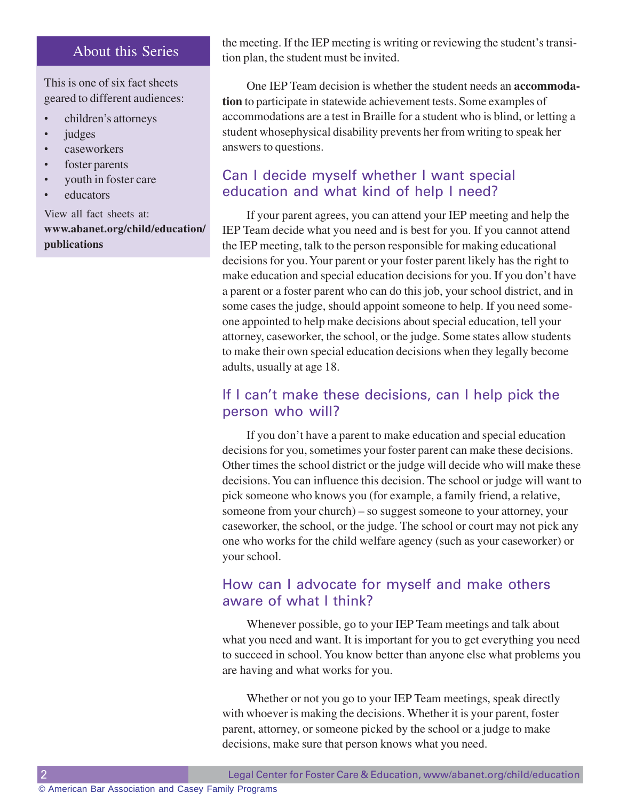#### About this Series

This is one of six fact sheets geared to different audiences:

- children's attorneys
- judges
- caseworkers
- foster parents
- youth in foster care
- educators

View all fact sheets at: **www.abanet.org/child/education/ publications**

the meeting. If the IEP meeting is writing or reviewing the student's transition plan, the student must be invited.

One IEP Team decision is whether the student needs an **accommodation** to participate in statewide achievement tests. Some examples of accommodations are a test in Braille for a student who is blind, or letting a student whosephysical disability prevents her from writing to speak her answers to questions.

## Can I decide myself whether I want special education and what kind of help I need?

If your parent agrees, you can attend your IEP meeting and help the IEP Team decide what you need and is best for you. If you cannot attend the IEP meeting, talk to the person responsible for making educational decisions for you. Your parent or your foster parent likely has the right to make education and special education decisions for you. If you don't have a parent or a foster parent who can do this job, your school district, and in some cases the judge, should appoint someone to help. If you need someone appointed to help make decisions about special education, tell your attorney, caseworker, the school, or the judge. Some states allow students to make their own special education decisions when they legally become adults, usually at age 18.

### If I can't make these decisions, can I help pick the person who will?

If you don't have a parent to make education and special education decisions for you, sometimes your foster parent can make these decisions. Other times the school district or the judge will decide who will make these decisions. You can influence this decision. The school or judge will want to pick someone who knows you (for example, a family friend, a relative, someone from your church) – so suggest someone to your attorney, your caseworker, the school, or the judge. The school or court may not pick any one who works for the child welfare agency (such as your caseworker) or your school.

#### How can I advocate for myself and make others aware of what I think?

Whenever possible, go to your IEP Team meetings and talk about what you need and want. It is important for you to get everything you need to succeed in school. You know better than anyone else what problems you are having and what works for you.

Whether or not you go to your IEP Team meetings, speak directly with whoever is making the decisions. Whether it is your parent, foster parent, attorney, or someone picked by the school or a judge to make decisions, make sure that person knows what you need.